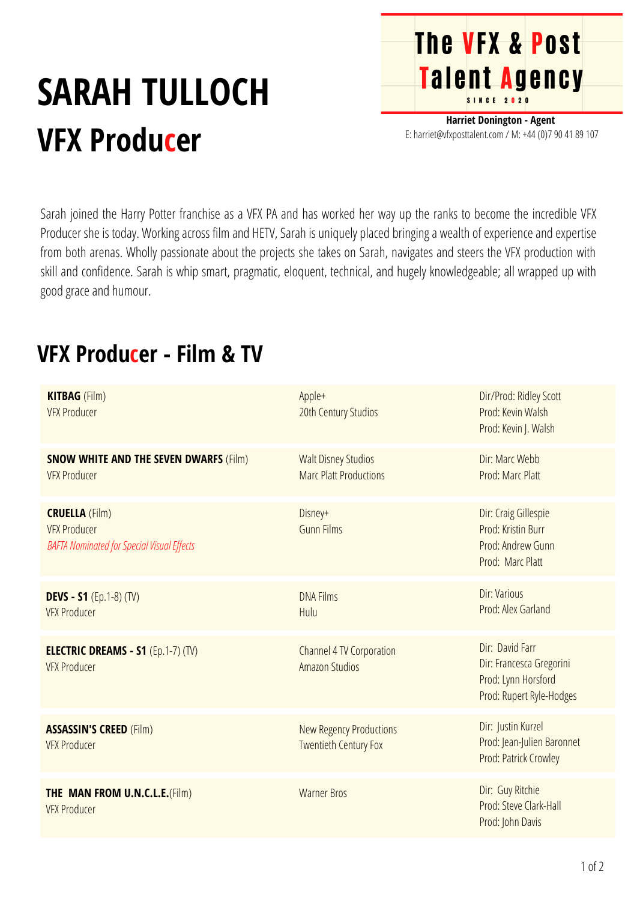## **SARAH TULLOCH VFX Producer**

**Harriet Donington - Agent** E: harriet@vfxposttalent.com / M: +44 (0)7 90 41 89 107

**The VFX & Post** 

Talent Agency

Sarah joined the Harry Potter franchise as a VFX PA and has worked her way up the ranks to become the incredible VFX Producer she is today. Working across film and HETV, Sarah is uniquely placed bringing a wealth of experience and expertise from both arenas. Wholly passionate about the projects she takes on Sarah, navigates and steers the VFX production with skill and confidence. Sarah is whip smart, pragmatic, eloquent, technical, and hugely knowledgeable; all wrapped up with good grace and humour.

## **DEVS - S1** (Ep.1-8) (TV) VFX Producer DNA Films Hulu Dir:Various Prod:Alex [Garland](https://pro.imdb.com/name/nm0307497/) **CRUELLA** (Film) VFX Producer **BAFTA** Nominated for Special Visual Effects Dir: Craig Gillespie Prod: [Kristin](https://pro.imdb.com/name/nm0123013/?ref_=tt_fm_prodr) Bur[r](https://pro.imdb.com/name/nm0123013/?ref_=tt_fm_prodr) Prod:[Andrew](https://pro.imdb.com/name/nm0348151/?ref_=tt_fm_prodr) Gunn Prod: [Marc](https://pro.imdb.com/name/nm0686887/?ref_=tt_fm_prodr) Platt Disney+ Gunn Films **ELECTRIC DREAMS - S1** (Ep.1-7) (TV) VFX Producer Channel 4 TV Corporation Amazon Studios Dir: [David](https://pro.imdb.com/name/nm1016333/) Farr [Dir:](https://pro.imdb.com/name/nm1036527/) Francesca [Gregorini](https://pro.imdb.com/name/nm1036527/) Prod: Lynn [Horsford](https://pro.imdb.com/name/nm0307497/) Prod: Rupert [Ryle-Hodges](https://pro.imdb.com/name/nm0307497/) **ASSASSIN'S CREED** (Film) VFX Producer New Regency Productions Twentieth Century Fox Dir: Justin [Kurzel](https://pro.imdb.com/name/nm0997291/) Prod: [Jean-Julien](https://pro.imdb.com/name/nm3989165/) Baronnet Prod: Patrick [Crowley](https://pro.imdb.com/name/nm0189777/) **THE MAN FROM U.N.C.L.E.**(Film) VFX Producer Warner Bros Dir: Guy Ritchie Prod: Steve [Clark-Hall](https://pro.imdb.com/name/nm0164626/) [Prod:](https://pro.imdb.com/name/nm0204862/) John Davis **SNOW WHITE AND THE SEVEN DWARFS** (Film) VFX Producer Dir: Marc Webb Prod: Marc Platt **Walt Disney Studios** Marc Platt [Productions](https://pro.imdb.com/company/co0093810/?ref_=tt_cc_nm_1) **KITBAG** (Film) VFX Producer Dir/Prod: Ridley Scott Prod: Kevin [Walsh](https://pro.imdb.com/name/nm11801157/?ref_=tt_fm_prodr) [Prod:](https://pro.imdb.com/name/nm1016966/?ref_=tt_fm_prodr) Kevin J. [Walsh](https://pro.imdb.com/name/nm1016966/?ref_=tt_fm_prodr) Apple+ 20th Century Studios

## **VFX Producer - Film & TV**